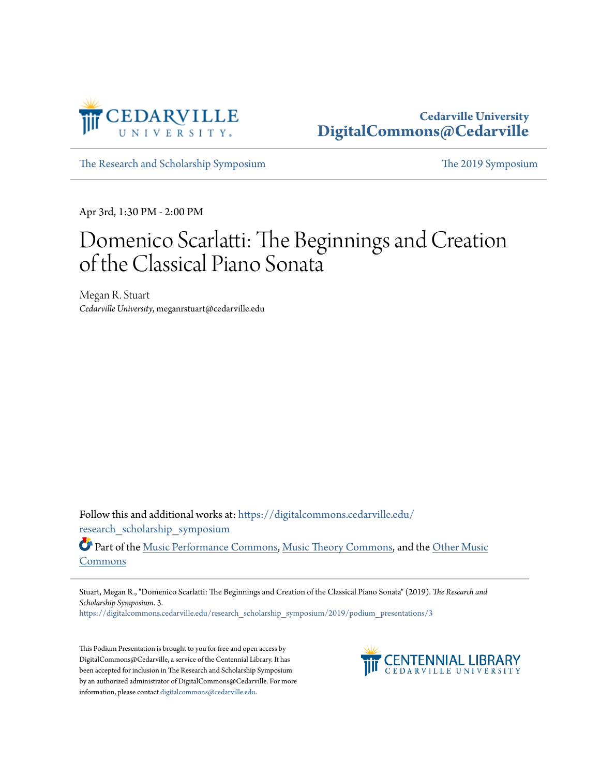

#### **Cedarville University [DigitalCommons@Cedarville](https://digitalcommons.cedarville.edu?utm_source=digitalcommons.cedarville.edu%2Fresearch_scholarship_symposium%2F2019%2Fpodium_presentations%2F3&utm_medium=PDF&utm_campaign=PDFCoverPages)**

[The Research and Scholarship Symposium](https://digitalcommons.cedarville.edu/research_scholarship_symposium?utm_source=digitalcommons.cedarville.edu%2Fresearch_scholarship_symposium%2F2019%2Fpodium_presentations%2F3&utm_medium=PDF&utm_campaign=PDFCoverPages) [The 2019 Symposium](https://digitalcommons.cedarville.edu/research_scholarship_symposium/2019?utm_source=digitalcommons.cedarville.edu%2Fresearch_scholarship_symposium%2F2019%2Fpodium_presentations%2F3&utm_medium=PDF&utm_campaign=PDFCoverPages)

Apr 3rd, 1:30 PM - 2:00 PM

#### Domenico Scarlatti: The Beginnings and Creation of the Classical Piano Sonata

Megan R. Stuart *Cedarville University*, meganrstuart@cedarville.edu

Follow this and additional works at: [https://digitalcommons.cedarville.edu/](https://digitalcommons.cedarville.edu/research_scholarship_symposium?utm_source=digitalcommons.cedarville.edu%2Fresearch_scholarship_symposium%2F2019%2Fpodium_presentations%2F3&utm_medium=PDF&utm_campaign=PDFCoverPages) [research\\_scholarship\\_symposium](https://digitalcommons.cedarville.edu/research_scholarship_symposium?utm_source=digitalcommons.cedarville.edu%2Fresearch_scholarship_symposium%2F2019%2Fpodium_presentations%2F3&utm_medium=PDF&utm_campaign=PDFCoverPages)

Part of the [Music Performance Commons](http://network.bepress.com/hgg/discipline/1128?utm_source=digitalcommons.cedarville.edu%2Fresearch_scholarship_symposium%2F2019%2Fpodium_presentations%2F3&utm_medium=PDF&utm_campaign=PDFCoverPages), [Music Theory Commons,](http://network.bepress.com/hgg/discipline/522?utm_source=digitalcommons.cedarville.edu%2Fresearch_scholarship_symposium%2F2019%2Fpodium_presentations%2F3&utm_medium=PDF&utm_campaign=PDFCoverPages) and the [Other Music](http://network.bepress.com/hgg/discipline/524?utm_source=digitalcommons.cedarville.edu%2Fresearch_scholarship_symposium%2F2019%2Fpodium_presentations%2F3&utm_medium=PDF&utm_campaign=PDFCoverPages) [Commons](http://network.bepress.com/hgg/discipline/524?utm_source=digitalcommons.cedarville.edu%2Fresearch_scholarship_symposium%2F2019%2Fpodium_presentations%2F3&utm_medium=PDF&utm_campaign=PDFCoverPages)

Stuart, Megan R., "Domenico Scarlatti: The Beginnings and Creation of the Classical Piano Sonata" (2019). *The Research and Scholarship Symposium*. 3.

[https://digitalcommons.cedarville.edu/research\\_scholarship\\_symposium/2019/podium\\_presentations/3](https://digitalcommons.cedarville.edu/research_scholarship_symposium/2019/podium_presentations/3?utm_source=digitalcommons.cedarville.edu%2Fresearch_scholarship_symposium%2F2019%2Fpodium_presentations%2F3&utm_medium=PDF&utm_campaign=PDFCoverPages)

This Podium Presentation is brought to you for free and open access by DigitalCommons@Cedarville, a service of the Centennial Library. It has been accepted for inclusion in The Research and Scholarship Symposium by an authorized administrator of DigitalCommons@Cedarville. For more information, please contact [digitalcommons@cedarville.edu.](mailto:digitalcommons@cedarville.edu)

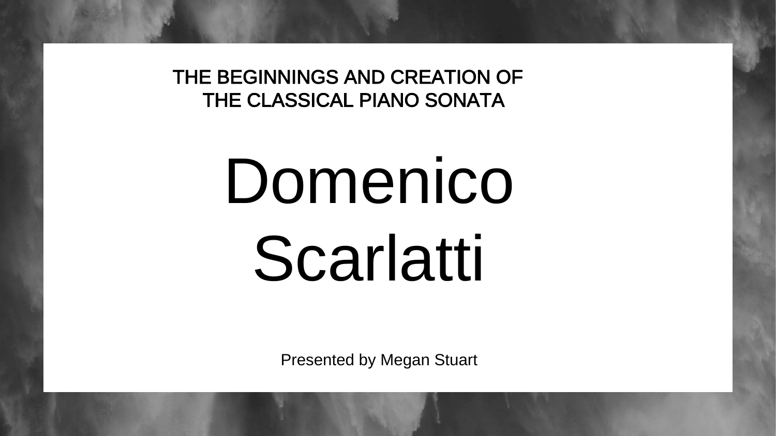THE BEGINNINGS AND CREATION OF THE CLASSICAL PIANO SONATA

# Domenico Scarlatti

Presented by Megan Stuart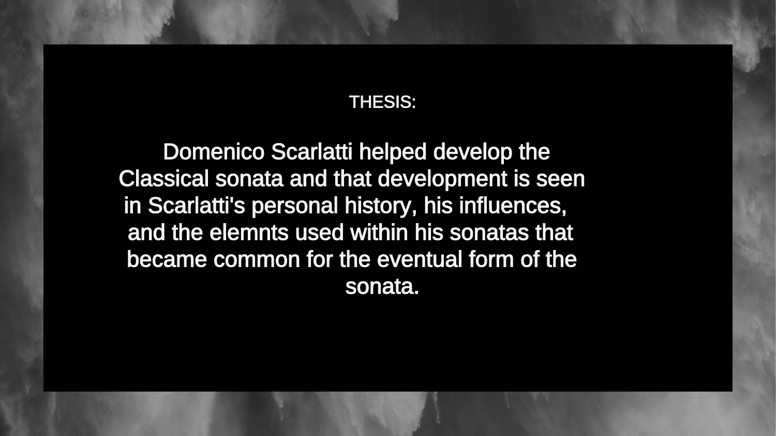### THESIS:

Domenico Scarlatti helped develop the Classical sonata and that development is seen in Scarlatti's personal history, his influences, and the elemnts used within his sonatas that became common for the eventual form of the sonata.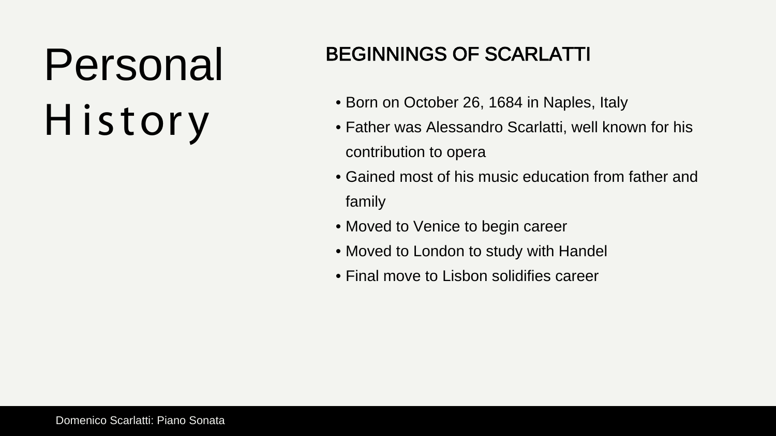# Personal H istory

### BEGINNINGS OF SCARLATTI

- contribution to opera
- Born on October 26, 1684 in Naples, Italy • Father was Alessandro Scarlatti, well known for his
- Gained most of his music education from father and family
- Moved to Venice to begin career
- Moved to London to study with Handel
- Final move to Lisbon solidifies career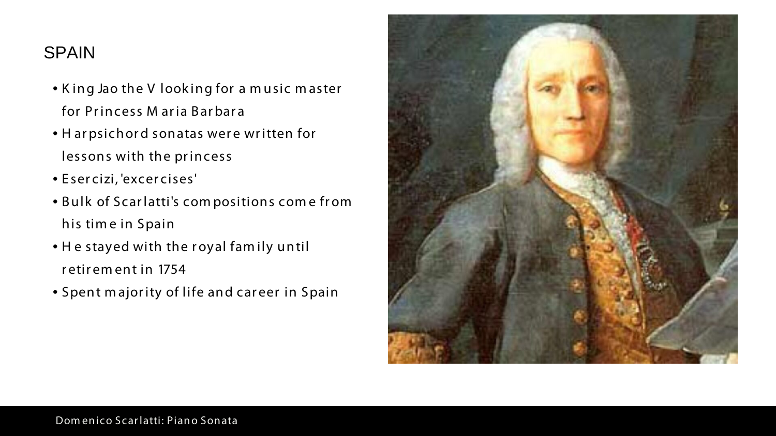### SPAIN

- K ing Jao the V look ing for a m usic m aster for Princess M aria Barbara
- H arpsichord sonatas were written for lessons with the princess
- E ser cizi, 'excercises'
- Bulk of Scarlatti's compositions come from his tim e in Spain
- He stayed with the royal family until retirem ent in 1754
- Spent m ajority of life and career in Spain

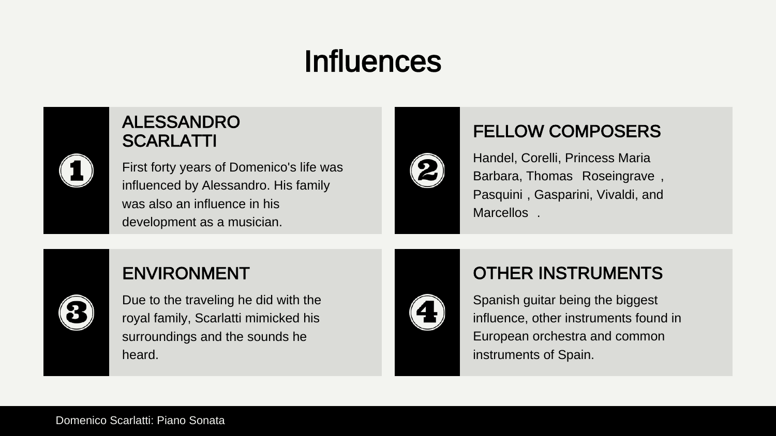### Influences

### ALESSANDRO SCARLATTI

First forty years of Domenico's life was influenced by Alessandro. His family was also an influence in his development as a musician.



Handel, Corelli, Princess Maria Barbara, Thomas Roseingrave , Pasquini , Gasparini, Vivaldi, and Marcellos .

### ENVIRONMENT

Due to the traveling he did with the royal family, Scarlatti mimicked his surroundings and the sounds he heard.



### FELLOW COMPOSERS

### OTHER INSTRUMENTS

Spanish guitar being the biggest influence, other instruments found in European orchestra and common instruments of Spain.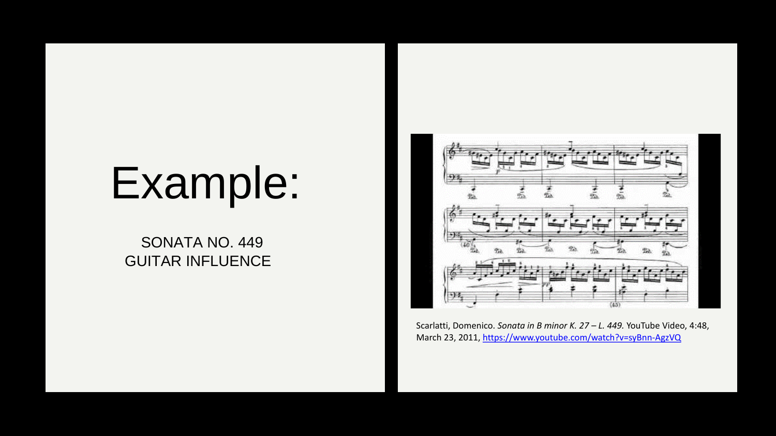# Example:

### SONATA NO. 449 GUITAR INFLUENCE



Scarlatti, Domenico. *Sonata in B minor K. 27 – L. 449.* YouTube Video, 4:48, March 23, 2011, <https://www.youtube.com/watch?v=syBnn-AgzVQ>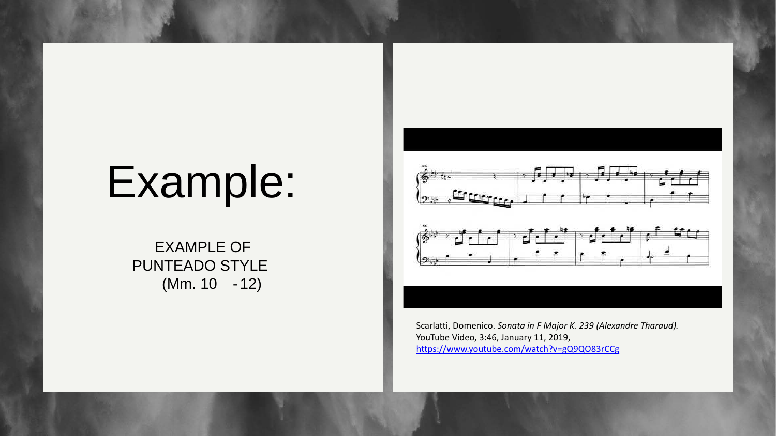# Example:

EXAMPLE OF PUNTEADO STYLE (Mm. 10 -12)



Scarlatti, Domenico. *Sonata in F Major K. 239 (Alexandre Tharaud).*  YouTube Video, 3:46, January 11, 2019, <https://www.youtube.com/watch?v=gQ9QO83rCCg>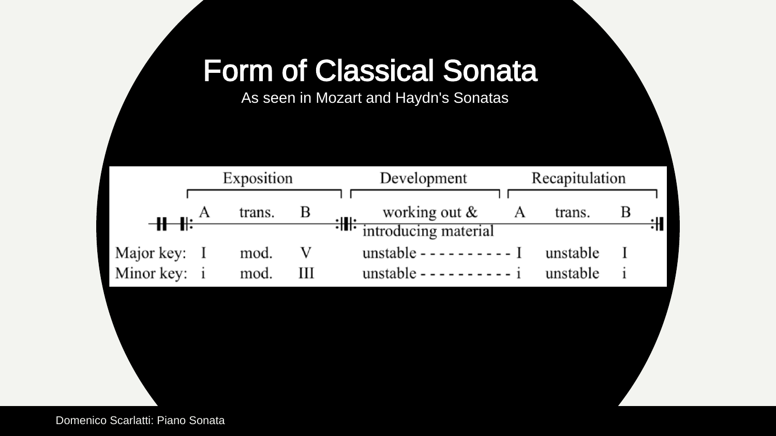### Form of Classical Sor

As seen in Mozart and Haydn's Sona



Domenico Scarlatti: Piano Sonata

| nata<br>atas       |  |
|--------------------|--|
| Recapitulation     |  |
| B<br>A<br>trans.   |  |
| ╬<br>al            |  |
| unstable<br>I<br>T |  |
| unstable<br>1      |  |
|                    |  |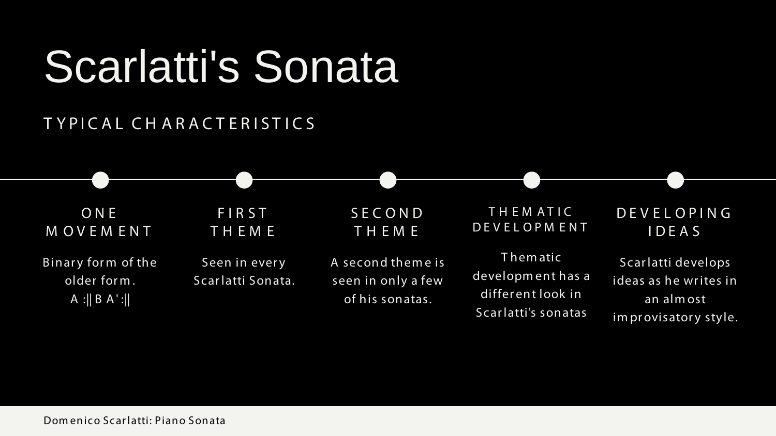# Scarlatti's Sonata

ONE M OVEM ENT

Binary form of the older form .  $A : ||B A':||$ 

### T YPICAL CH ARACT ERIST ICS

FIRST TH EM E

> T hem atic developm ent has a different look in Scarlatti's sonatas

Seen in every Scarlatti Sonata. SECOND TH EM E

A second them e is seen in only a few of his sonatas.

T H EM AT IC DEVELOPM ENT

DEVELOPING IDEAS

Scarlatti develops ideas as he writes in an alm ost im provisatory style.

Dom enico Scarlatti: Piano Sonata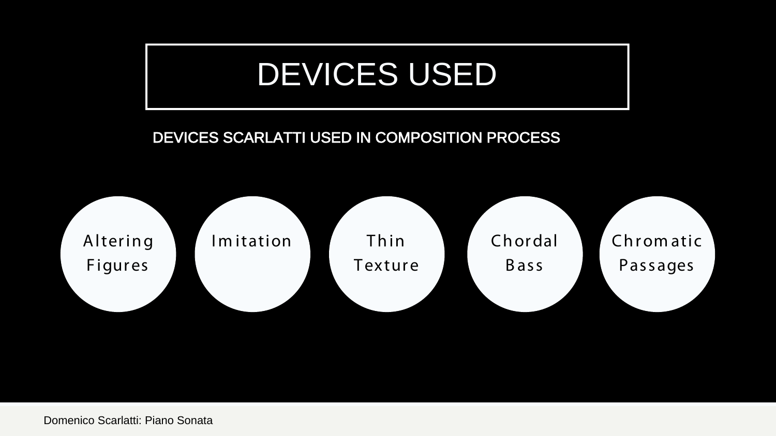## DEVICES USED

DEVICES SCARLATTI USED IN COMPOSITION PROCESS



Domenico Scarlatti: Piano Sonata